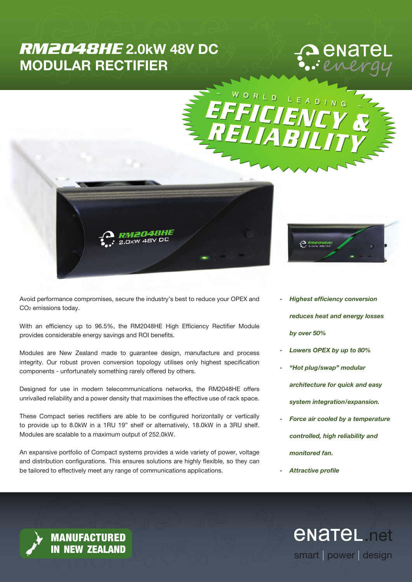# *RM2048HE* 2.0kW 48V DC MODULAR RECTIFIER

# enatel



Avoid performance compromises, secure the industry's best to reduce your OPEX and CO2 emissions today.

With an efficiency up to 96.5%, the RM2048HE High Efficiency Rectifier Module provides considerable energy savings and ROI benefits.

Modules are New Zealand made to guarantee design, manufacture and process integrity. Our robust proven conversion topology utilises only highest specification components - unfortunately something rarely offered by others.

Designed for use in modern telecommunications networks, the RM2048HE offers unrivalled reliability and a power density that maximises the effective use of rack space.

These Compact series rectifiers are able to be configured horizontally or vertically to provide up to 8.0kW in a 1RU 19" shelf or alternatively, 18.0kW in a 3RU shelf. Modules are scalable to a maximum output of 252.0kW.

An expansive portfolio of Compact systems provides a wide variety of power, voltage and distribution configurations. This ensures solutions are highly flexible, so they can be tailored to effectively meet any range of communications applications.



 $\left(\begin{smallmatrix}P\ P\end{smallmatrix}\right)$ 

- *Highest efficiency conversion reduces heat and energy losses by over 50%*
- *- Lowers OPEX by up to 80%*
- *- "Hot plug/swap" modular architecture for quick and easy system integration/expansion.*
- *- Force air cooled by a temperature controlled, high reliability and monitored fan.*

smart | power | design

*<u>ENATEL</u>* net

*- Attractive profile*

MANUFACTURED IN NEW ZEALAND